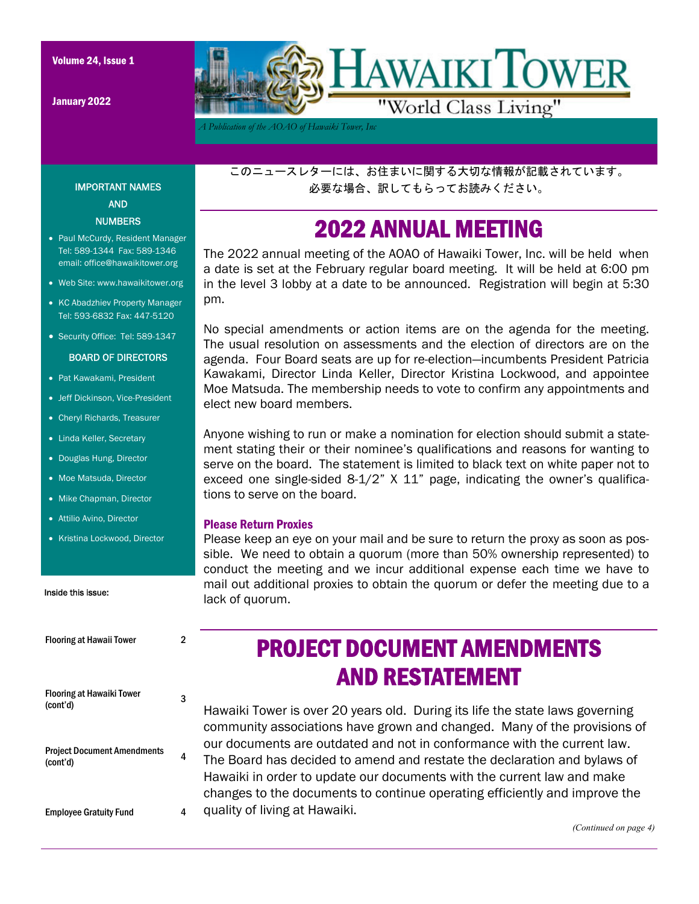IMPORTANT NAMES AND **NUMBERS** • Paul McCurdy, Resident Manager Tel: 589-1344 Fax: 589-1346 email: office@hawaikitower.org Web Site: www.hawaikitower.org • KC Abadzhiev Property Manager Tel: 593-6832 Fax: 447-5120 • Security Office: Tel: 589-1347 BOARD OF DIRECTORS

January 2022



*A Publication of the AOAO of Hawaiki Tower, Inc* 

このニュースレターには、お住まいに関する大切な情報が記載されています。 必要な場合、訳してもらってお読みください。

### 2022 ANNUAL MEETING

The 2022 annual meeting of the AOAO of Hawaiki Tower, Inc. will be held when a date is set at the February regular board meeting. It will be held at 6:00 pm in the level 3 lobby at a date to be announced. Registration will begin at 5:30 pm.

No special amendments or action items are on the agenda for the meeting. The usual resolution on assessments and the election of directors are on the agenda. Four Board seats are up for re-election—incumbents President Patricia Kawakami, Director Linda Keller, Director Kristina Lockwood, and appointee Moe Matsuda. The membership needs to vote to confirm any appointments and elect new board members.

Anyone wishing to run or make a nomination for election should submit a statement stating their or their nominee's qualifications and reasons for wanting to serve on the board. The statement is limited to black text on white paper not to exceed one single-sided 8-1/2" X 11" page, indicating the owner's qualifications to serve on the board.

#### Please Return Proxies

Please keep an eye on your mail and be sure to return the proxy as soon as possible. We need to obtain a quorum (more than 50% ownership represented) to conduct the meeting and we incur additional expense each time we have to mail out additional proxies to obtain the quorum or defer the meeting due to a lack of quorum.

# Inside this issue: • Douglas Hung, Director • Moe Matsuda, Director • Mike Chapman, Director Attilio Avino, Director • Kristina Lockwood, Director

• Pat Kawakami, President Jeff Dickinson, Vice-President Cheryl Richards, Treasurer • Linda Keller, Secretary

Flooring at Hawaii Tower 2

| TIUVIIIIE ALTIAWAII TUWUI                      | ∠ |
|------------------------------------------------|---|
| <b>Flooring at Hawaiki Tower</b><br>(cont'd)   |   |
| <b>Project Document Amendments</b><br>(cont'd) | 4 |
| <b>Employee Gratuity Fund</b>                  |   |

# PROJECT DOCUMENT AMENDMENTS AND RESTATEMENT

Hawaiki Tower is over 20 years old. During its life the state laws governing community associations have grown and changed. Many of the provisions of our documents are outdated and not in conformance with the current law. The Board has decided to amend and restate the declaration and bylaws of Hawaiki in order to update our documents with the current law and make changes to the documents to continue operating efficiently and improve the quality of living at Hawaiki.

*(Continued on page 4)*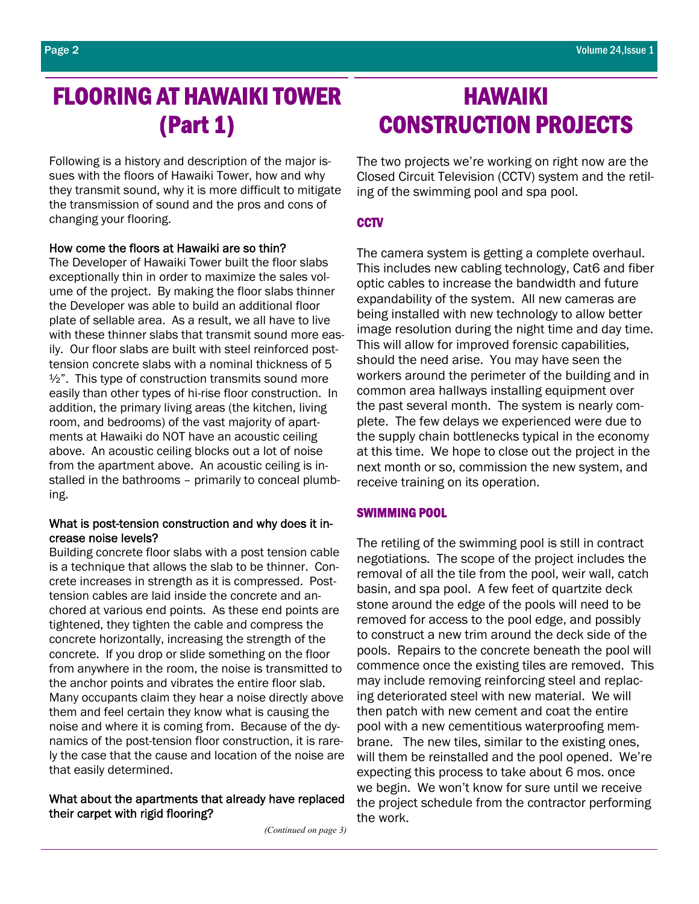## FLOORING AT HAWAIKI TOWER (Part 1)

Following is a history and description of the major issues with the floors of Hawaiki Tower, how and why they transmit sound, why it is more difficult to mitigate the transmission of sound and the pros and cons of changing your flooring.

#### How come the floors at Hawaiki are so thin?

The Developer of Hawaiki Tower built the floor slabs exceptionally thin in order to maximize the sales volume of the project. By making the floor slabs thinner the Developer was able to build an additional floor plate of sellable area. As a result, we all have to live with these thinner slabs that transmit sound more easily. Our floor slabs are built with steel reinforced posttension concrete slabs with a nominal thickness of 5  $\frac{1}{2}$ ". This type of construction transmits sound more easily than other types of hi-rise floor construction. In addition, the primary living areas (the kitchen, living room, and bedrooms) of the vast majority of apartments at Hawaiki do NOT have an acoustic ceiling above. An acoustic ceiling blocks out a lot of noise from the apartment above. An acoustic ceiling is installed in the bathrooms – primarily to conceal plumbing.

#### What is post-tension construction and why does it increase noise levels?

Building concrete floor slabs with a post tension cable is a technique that allows the slab to be thinner. Concrete increases in strength as it is compressed. Posttension cables are laid inside the concrete and anchored at various end points. As these end points are tightened, they tighten the cable and compress the concrete horizontally, increasing the strength of the concrete. If you drop or slide something on the floor from anywhere in the room, the noise is transmitted to the anchor points and vibrates the entire floor slab. Many occupants claim they hear a noise directly above them and feel certain they know what is causing the noise and where it is coming from. Because of the dynamics of the post-tension floor construction, it is rarely the case that the cause and location of the noise are that easily determined.

#### What about the apartments that already have replaced their carpet with rigid flooring?

*(Continued on page 3)* 

## HAWAIKI CONSTRUCTION PROJECTS

The two projects we're working on right now are the Closed Circuit Television (CCTV) system and the retiling of the swimming pool and spa pool.

#### **CCTV**

The camera system is getting a complete overhaul. This includes new cabling technology, Cat6 and fiber optic cables to increase the bandwidth and future expandability of the system. All new cameras are being installed with new technology to allow better image resolution during the night time and day time. This will allow for improved forensic capabilities, should the need arise. You may have seen the workers around the perimeter of the building and in common area hallways installing equipment over the past several month. The system is nearly complete. The few delays we experienced were due to the supply chain bottlenecks typical in the economy at this time. We hope to close out the project in the next month or so, commission the new system, and receive training on its operation.

#### SWIMMING POOL

The retiling of the swimming pool is still in contract negotiations. The scope of the project includes the removal of all the tile from the pool, weir wall, catch basin, and spa pool. A few feet of quartzite deck stone around the edge of the pools will need to be removed for access to the pool edge, and possibly to construct a new trim around the deck side of the pools. Repairs to the concrete beneath the pool will commence once the existing tiles are removed. This may include removing reinforcing steel and replacing deteriorated steel with new material. We will then patch with new cement and coat the entire pool with a new cementitious waterproofing membrane. The new tiles, similar to the existing ones, will them be reinstalled and the pool opened. We're expecting this process to take about 6 mos. once we begin. We won't know for sure until we receive the project schedule from the contractor performing the work.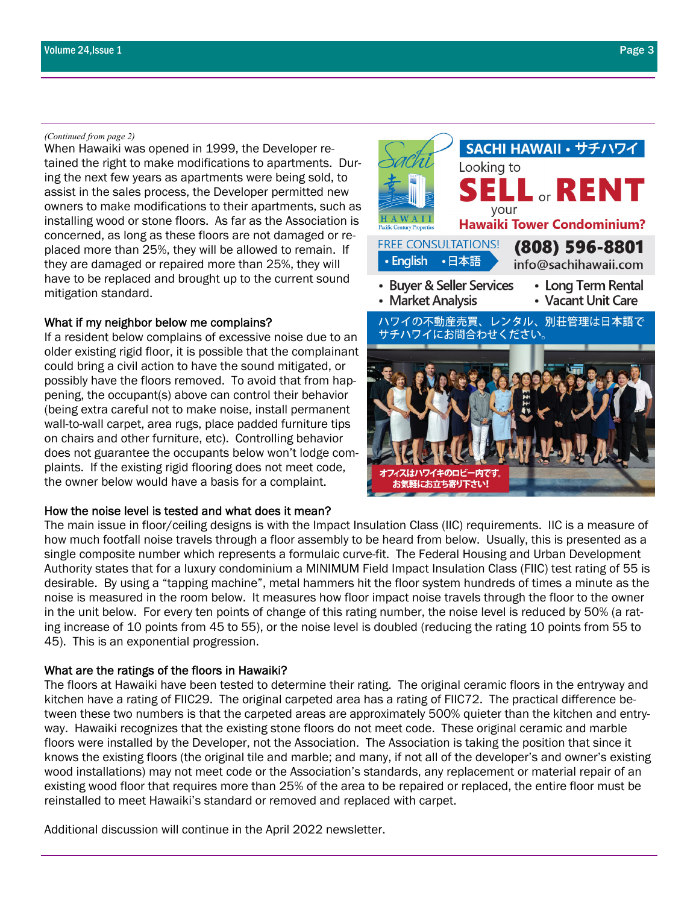#### *(Continued from page 2)*

When Hawaiki was opened in 1999, the Developer retained the right to make modifications to apartments. During the next few years as apartments were being sold, to assist in the sales process, the Developer permitted new owners to make modifications to their apartments, such as installing wood or stone floors. As far as the Association is concerned, as long as these floors are not damaged or replaced more than 25%, they will be allowed to remain. If they are damaged or repaired more than 25%, they will have to be replaced and brought up to the current sound mitigation standard.

#### What if my neighbor below me complains?

If a resident below complains of excessive noise due to an older existing rigid floor, it is possible that the complainant could bring a civil action to have the sound mitigated, or possibly have the floors removed. To avoid that from happening, the occupant(s) above can control their behavior (being extra careful not to make noise, install permanent wall-to-wall carpet, area rugs, place padded furniture tips on chairs and other furniture, etc). Controlling behavior does not guarantee the occupants below won't lodge complaints. If the existing rigid flooring does not meet code, the owner below would have a basis for a complaint.

#### How the noise level is tested and what does it mean?

The main issue in floor/ceiling designs is with the Impact Insulation Class (IIC) requirements. IIC is a measure of how much footfall noise travels through a floor assembly to be heard from below. Usually, this is presented as a single composite number which represents a formulaic curve-fit. The Federal Housing and Urban Development Authority states that for a luxury condominium a MINIMUM Field Impact Insulation Class (FIIC) test rating of 55 is desirable. By using a "tapping machine", metal hammers hit the floor system hundreds of times a minute as the noise is measured in the room below. It measures how floor impact noise travels through the floor to the owner in the unit below. For every ten points of change of this rating number, the noise level is reduced by 50% (a rating increase of 10 points from 45 to 55), or the noise level is doubled (reducing the rating 10 points from 55 to 45). This is an exponential progression.

#### What are the ratings of the floors in Hawaiki?

The floors at Hawaiki have been tested to determine their rating. The original ceramic floors in the entryway and kitchen have a rating of FIIC29. The original carpeted area has a rating of FIIC72. The practical difference between these two numbers is that the carpeted areas are approximately 500% quieter than the kitchen and entryway. Hawaiki recognizes that the existing stone floors do not meet code. These original ceramic and marble floors were installed by the Developer, not the Association. The Association is taking the position that since it knows the existing floors (the original tile and marble; and many, if not all of the developer's and owner's existing wood installations) may not meet code or the Association's standards, any replacement or material repair of an existing wood floor that requires more than 25% of the area to be repaired or replaced, the entire floor must be reinstalled to meet Hawaiki's standard or removed and replaced with carpet.

Additional discussion will continue in the April 2022 newsletter.